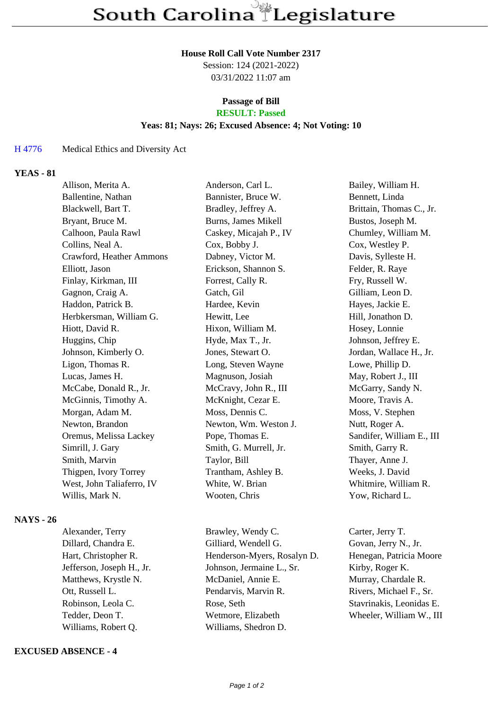#### **House Roll Call Vote Number 2317**

Session: 124 (2021-2022) 03/31/2022 11:07 am

# **Passage of Bill**

## **RESULT: Passed**

## **Yeas: 81; Nays: 26; Excused Absence: 4; Not Voting: 10**

#### H 4776 Medical Ethics and Diversity Act

### **YEAS - 81**

| Allison, Merita A.        | Anderson, Carl L.      | Bailey, William H.        |
|---------------------------|------------------------|---------------------------|
| Ballentine, Nathan        | Bannister, Bruce W.    | Bennett, Linda            |
| Blackwell, Bart T.        | Bradley, Jeffrey A.    | Brittain, Thomas C., Jr.  |
| Bryant, Bruce M.          | Burns, James Mikell    | Bustos, Joseph M.         |
| Calhoon, Paula Rawl       | Caskey, Micajah P., IV | Chumley, William M.       |
| Collins, Neal A.          | Cox, Bobby J.          | Cox, Westley P.           |
| Crawford, Heather Ammons  | Dabney, Victor M.      | Davis, Sylleste H.        |
| Elliott, Jason            | Erickson, Shannon S.   | Felder, R. Raye           |
| Finlay, Kirkman, III      | Forrest, Cally R.      | Fry, Russell W.           |
| Gagnon, Craig A.          | Gatch, Gil             | Gilliam, Leon D.          |
| Haddon, Patrick B.        | Hardee, Kevin          | Hayes, Jackie E.          |
| Herbkersman, William G.   | Hewitt, Lee            | Hill, Jonathon D.         |
| Hiott, David R.           | Hixon, William M.      | Hosey, Lonnie             |
| Huggins, Chip             | Hyde, Max T., Jr.      | Johnson, Jeffrey E.       |
| Johnson, Kimberly O.      | Jones, Stewart O.      | Jordan, Wallace H., Jr.   |
| Ligon, Thomas R.          | Long, Steven Wayne     | Lowe, Phillip D.          |
| Lucas, James H.           | Magnuson, Josiah       | May, Robert J., III       |
| McCabe, Donald R., Jr.    | McCravy, John R., III  | McGarry, Sandy N.         |
| McGinnis, Timothy A.      | McKnight, Cezar E.     | Moore, Travis A.          |
| Morgan, Adam M.           | Moss, Dennis C.        | Moss, V. Stephen          |
| Newton, Brandon           | Newton, Wm. Weston J.  | Nutt, Roger A.            |
| Oremus, Melissa Lackey    | Pope, Thomas E.        | Sandifer, William E., III |
| Simrill, J. Gary          | Smith, G. Murrell, Jr. | Smith, Garry R.           |
| Smith, Marvin             | Taylor, Bill           | Thayer, Anne J.           |
| Thigpen, Ivory Torrey     | Trantham, Ashley B.    | Weeks, J. David           |
| West, John Taliaferro, IV | White, W. Brian        | Whitmire, William R.      |
| Willis, Mark N.           | Wooten, Chris          | Yow, Richard L.           |
|                           |                        |                           |

## **NAYS - 26**

Williams, Robert Q. Williams, Shedron D.

## **EXCUSED ABSENCE - 4**

Alexander, Terry Brawley, Wendy C. Carter, Jerry T. Dillard, Chandra E. Gilliard, Wendell G. Govan, Jerry N., Jr. Hart, Christopher R. **Henderson-Myers, Rosalyn D.** Henegan, Patricia Moore Jefferson, Joseph H., Jr. Johnson, Jermaine L., Sr. Kirby, Roger K. Matthews, Krystle N. McDaniel, Annie E. Murray, Chardale R. Ott, Russell L. Pendarvis, Marvin R. Rivers, Michael F., Sr. Robinson, Leola C. Rose, Seth Stavrinakis, Leonidas E. Tedder, Deon T. Wetmore, Elizabeth Wheeler, William W., III